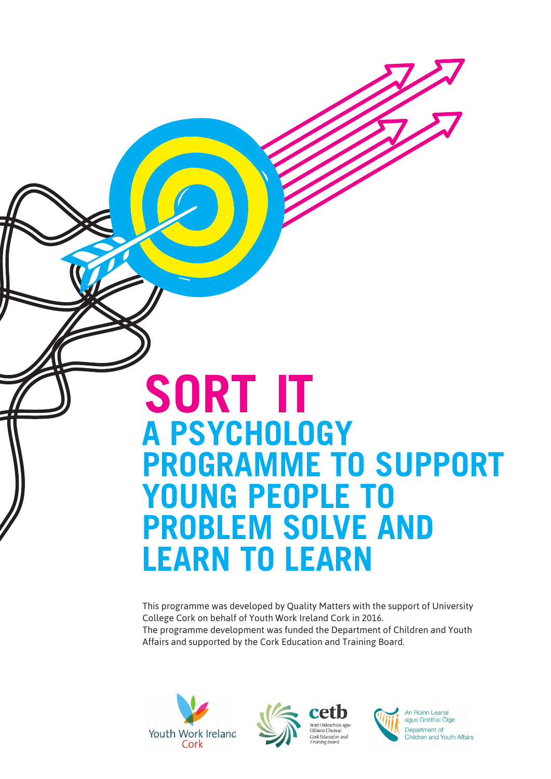# **SORT IT A PSYCHOLOGY PROGRAMME TO SUPPORT YOUNG PEOPLE TO PROBLEM SOLVE AND LEARN TO LEARN**

This programme was developed by Quality Matters with the support of University College Cork on behalf of Youth Work Ireland Cork in 2016. The programme development was funded the Department of Children and Youth Affairs and supported by the Cork Education and Training Board.







An Roinn Leanaí agus Gnóthaí Óige Department of **Children and Youth Affairs**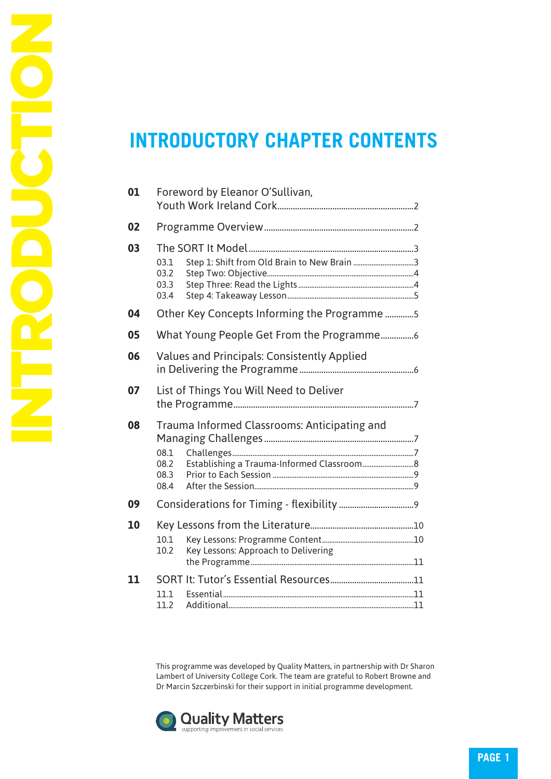## **INTRODUCTORY CHAPTER CONTENTS**

NOLD DOCKET

O

Ľ

2

**DUST** 

O

| 01 | Foreword by Eleanor O'Sullivan,                    |                                                                                            |  |
|----|----------------------------------------------------|--------------------------------------------------------------------------------------------|--|
| 02 |                                                    |                                                                                            |  |
| 03 | 03.1<br>03.2<br>03.3<br>03.4                       | Step 1: Shift from Old Brain to New Brain 3                                                |  |
| 04 | Other Key Concepts Informing the Programme 5       |                                                                                            |  |
| 05 |                                                    |                                                                                            |  |
| 06 | <b>Values and Principals: Consistently Applied</b> |                                                                                            |  |
| 07 | List of Things You Will Need to Deliver            |                                                                                            |  |
| 08 | 08.1<br>08.2<br>08.3<br>08.4                       | Trauma Informed Classrooms: Anticipating and<br>Establishing a Trauma-Informed Classroom 8 |  |
| 09 |                                                    |                                                                                            |  |
| 10 | 10.1<br>10.2                                       | Key Lessons: Approach to Delivering                                                        |  |
| 11 | 11 1<br>11.2                                       |                                                                                            |  |

This programme was developed by Quality Matters, in partnership with Dr Sharon Lambert of University College Cork. The team are grateful to Robert Browne and Dr Marcin Szczerbinski for their support in initial programme development.

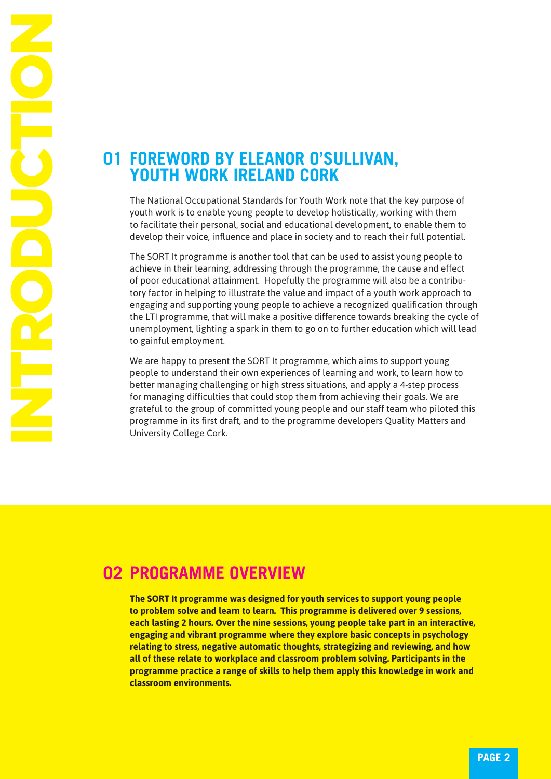### **01 FOREWORD BY ELEANOR O'SULLIVAN, YOUTH WORK IRELAND CORK**

The National Occupational Standards for Youth Work note that the key purpose of youth work is to enable young people to develop holistically, working with them to facilitate their personal, social and educational development, to enable them to develop their voice, influence and place in society and to reach their full potential.

The SORT It programme is another tool that can be used to assist young people to achieve in their learning, addressing through the programme, the cause and effect of poor educational attainment. Hopefully the programme will also be a contributory factor in helping to illustrate the value and impact of a youth work approach to engaging and supporting young people to achieve a recognized qualification through the LTI programme, that will make a positive difference towards breaking the cycle of unemployment, lighting a spark in them to go on to further education which will lead to gainful employment.

We are happy to present the SORT It programme, which aims to support young people to understand their own experiences of learning and work, to learn how to better managing challenging or high stress situations, and apply a 4-step process for managing difficulties that could stop them from achieving their goals. We are grateful to the group of committed young people and our staff team who piloted this programme in its first draft, and to the programme developers Quality Matters and University College Cork.

### **02 PROGRAMME OVERVIEW**

**The SORT It programme was designed for youth services to support young people to problem solve and learn to learn. This programme is delivered over 9 sessions, each lasting 2 hours. Over the nine sessions, young people take part in an interactive, engaging and vibrant programme where they explore basic concepts in psychology relating to stress, negative automatic thoughts, strategizing and reviewing, and how all of these relate to workplace and classroom problem solving. Participants in the programme practice a range of skills to help them apply this knowledge in work and classroom environments.**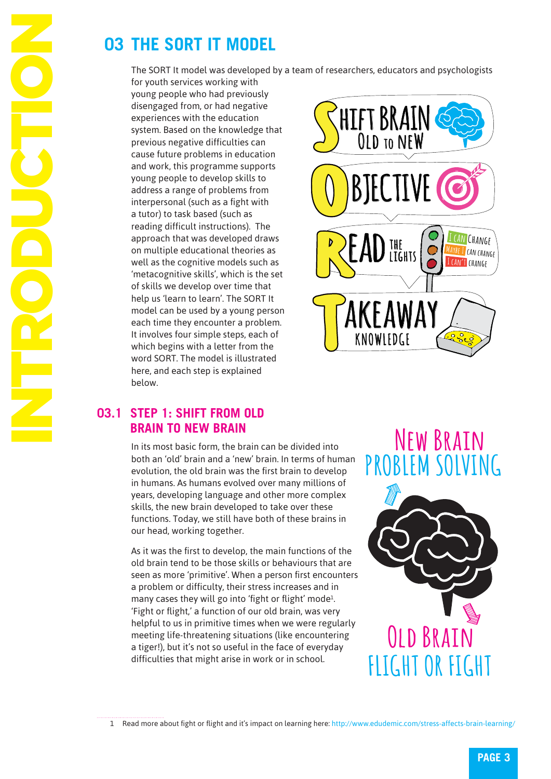The SORT It model was developed by a team of researchers, educators and psychologists

**IDENT IT MODEL**<br>
The SORT It model was developed for youth services working with<br>
for youth services working with<br>
young people who had previously<br>
disengaged from, or had negative<br>
experiences with the education<br>
system. for youth services working with young people who had previously disengaged from, or had negative<br>experiences with the education<br>system, Based on the knowledge t experiences with the education **system. Based on the knowledge that<br>previous negative difficulties can<br>cause future problems in education** previous negative difficulties can cause future problems in education and work, this programme supports young people to develop skills to address a range of problems from interpersonal (such as a fight with a tutor) to task based (such as reading difficult instructions). The approach that was developed draws on multiple educational theories as well as the cognitive models such as 'metacognitive skills', which is the set of skills we develop over time that help us 'learn to learn'. The SORT It<br>model can be used by a young perse model can be used by a young person each time they encounter a problem. It involves four simple steps, each of eacn time they encounter a probler<br>It involves four simple steps, each o<br>which begins with a letter from the word SORT. The model is illustrated here, and each step is explained below.



### **03.1 STEP 1: SHIFT FROM OLD BRAIN TO NEW BRAIN**

In its most basic form, the brain can be divided into both an 'old' brain and a 'new' brain. In terms of human evolution, the old brain was the first brain to develop in humans. As humans evolved over many millions of years, developing language and other more complex skills, the new brain developed to take over these functions. Today, we still have both of these brains in our head, working together.

As it was the first to develop, the main functions of the old brain tend to be those skills or behaviours that are seen as more 'primitive'. When a person first encounters a problem or difficulty, their stress increases and in many cases they will go into 'fight or flight' mode<sup>1</sup>. 'Fight or flight,' a function of our old brain, was very helpful to us in primitive times when we were regularly meeting life-threatening situations (like encountering a tiger!), but it's not so useful in the face of everyday difficulties that might arise in work or in school.

# **New Brain PROBLEM SOLVING**



<sup>1</sup> Read more about fight or flight and it's impact on learning here: http://www.edudemic.com/stress-affects-brain-learning/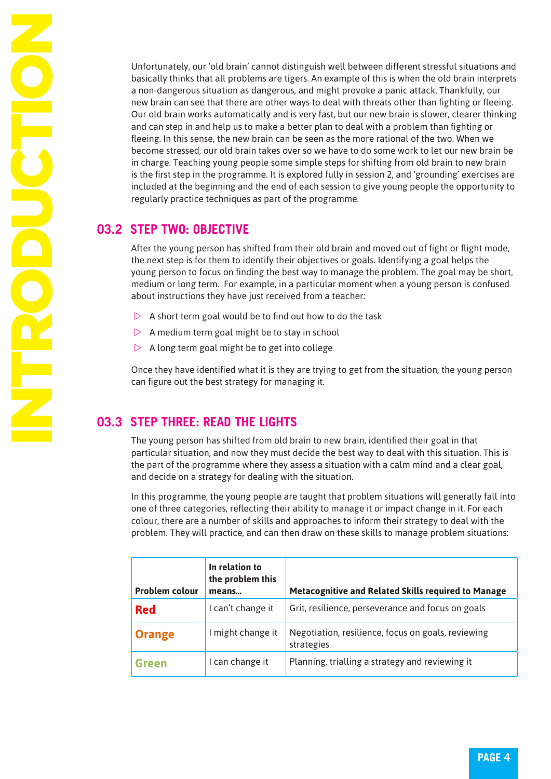Unfortunately, our 'old brain' cannot distinguish well between different stressful situations and basically thinks that all problems are tigers. An example of this is when the old brain interprets a non-dangerous situation as dangerous, and might provoke a panic attack. Thankfully, our new brain can see that there are other ways to deal with threats other than fighting or fleeing. Our old brain works automatically and is very fast, but our new brain is slower, clearer thinking and can step in and help us to make a better plan to deal with a problem than fighting or fleeing. In this sense, the new brain can be seen as the more rational of the two. When we become stressed, our old brain takes over so we have to do some work to let our new brain be in charge. Teaching young people some simple steps for shifting from old brain to new brain is the first step in the programme. It is explored fully in session 2, and 'grounding' exercises are included at the beginning and the end of each session to give young people the opportunity to regularly practice techniques as part of the programme.

#### **03.2 STEP TWO: OBJECTIVE**

After the young person has shifted from their old brain and moved out of fight or flight mode, the next step is for them to identify their objectives or goals. Identifying a goal helps the young person to focus on finding the best way to manage the problem. The goal may be short, medium or long term. For example, in a particular moment when a young person is confused about instructions they have just received from a teacher:

- $\triangleright$  A short term goal would be to find out how to do the task
- $\triangleright$  A medium term goal might be to stay in school
- $\triangleright$  A long term goal might be to get into college

Once they have identified what it is they are trying to get from the situation, the young person can figure out the best strategy for managing it.

### **03.3 STEP THREE: READ THE LIGHTS**

The young person has shifted from old brain to new brain, identified their goal in that particular situation, and now they must decide the best way to deal with this situation. This is the part of the programme where they assess a situation with a calm mind and a clear goal, and decide on a strategy for dealing with the situation.

In this programme, the young people are taught that problem situations will generally fall into one of three categories, reflecting their ability to manage it or impact change in it. For each colour, there are a number of skills and approaches to inform their strategy to deal with the problem. They will practice, and can then draw on these skills to manage problem situations:

| <b>Problem colour</b> | In relation to<br>the problem this<br>means | <b>Metacognitive and Related Skills required to Manage</b>       |
|-----------------------|---------------------------------------------|------------------------------------------------------------------|
| <b>Red</b>            | I can't change it                           | Grit, resilience, perseverance and focus on goals                |
| <b>Orange</b>         | I might change it                           | Negotiation, resilience, focus on goals, reviewing<br>strategies |
| <b>Green</b>          | I can change it                             | Planning, trialling a strategy and reviewing it                  |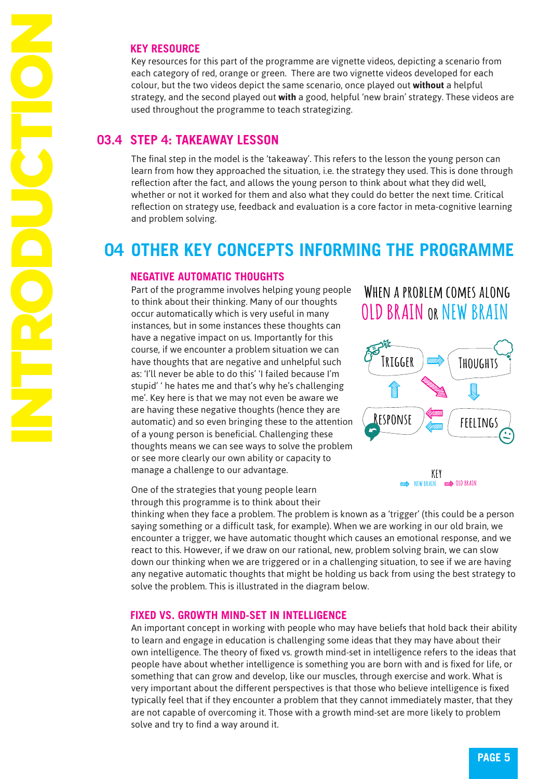#### **KEY RESOURCE**

Key resources for this part of the programme are vignette videos, depicting a scenario from each category of red, orange or green. There are two vignette videos developed for each colour, but the two videos depict the same scenario, once played out **without** a helpful strategy, and the second played out **with** a good, helpful 'new brain' strategy. These videos are used throughout the programme to teach strategizing.

#### **03.4 STEP 4: TAKEAWAY LESSON**

The final step in the model is the 'takeaway'. This refers to the lesson the young person can learn from how they approached the situation, i.e. the strategy they used. This is done through reflection after the fact, and allows the young person to think about what they did well, whether or not it worked for them and also what they could do better the next time. Critical reflection on strategy use, feedback and evaluation is a core factor in meta-cognitive learning and problem solving.

### **04 OTHER KEY CONCEPTS INFORMING THE PROGRAMME**

#### **NEGATIVE AUTOMATIC THOUGHTS**

Part of the programme involves helping young people **Part of the programme involves helping young peo**<br>to think about their thinking. Many of our thoughts **COMPANDED FIGURE 2018 IN AN ADDITIONAL SECTION** instances, but in some instances these thoughts can have a negative impact on us. Importantly for this course, if we encounter a problem situation we can have a negative impact on us. importantly for this<br>course, if we encounter a problem situation we can<br>have thoughts that are negative and unhelpful such as: 'I'll never be able to do this' 'I failed because I'm stupid' ' he hates me and that's why he's challenging me'. Key here is that we may not even be aware we are having these negative thoughts (hence they are automatic) and so even bringing these to the attention of a young person is beneficial. Challenging these thoughts means we can see ways to solve the problem or see more clearly our own ability or capacity to manage a challenge to our advantage. **NEW**<br>Part<br>to th th<br>Old Brain<br>Old Brain **Problem Solving**<br>Broadcoural<br>Colling Solving and that's why<br>we may not eve<br>ative thoughts<br>en bringing the **D R C** can see ways to solv<br>bur own ability or ca<br>to our advantage.

One of the strategies that young people learn through this programme is to think about their mana<br>Che o

**When a problem comes along OLD BRAIN OR NEW BRAIN**





thinking when they face a problem. The problem is known as a 'trigger' (this could be a person saying something or a difficult task, for example). When we are working in our old brain, we encounter a trigger, we have automatic thought which causes an emotional response, and we react to this. However, if we draw on our rational, new, problem solving brain, we can slow down our thinking when we are triggered or in a challenging situation, to see if we are having any negative automatic thoughts that might be holding us back from using the best strategy to solve the problem. This is illustrated in the diagram below.

#### **FIXED VS. GROWTH MIND-SET IN INTELLIGENCE**

An important concept in working with people who may have beliefs that hold back their ability to learn and engage in education is challenging some ideas that they may have about their own intelligence. The theory of fixed vs. growth mind-set in intelligence refers to the ideas that people have about whether intelligence is something you are born with and is fixed for life, or something that can grow and develop, like our muscles, through exercise and work. What is very important about the different perspectives is that those who believe intelligence is fixed typically feel that if they encounter a problem that they cannot immediately master, that they are not capable of overcoming it. Those with a growth mind-set are more likely to problem solve and try to find a way around it.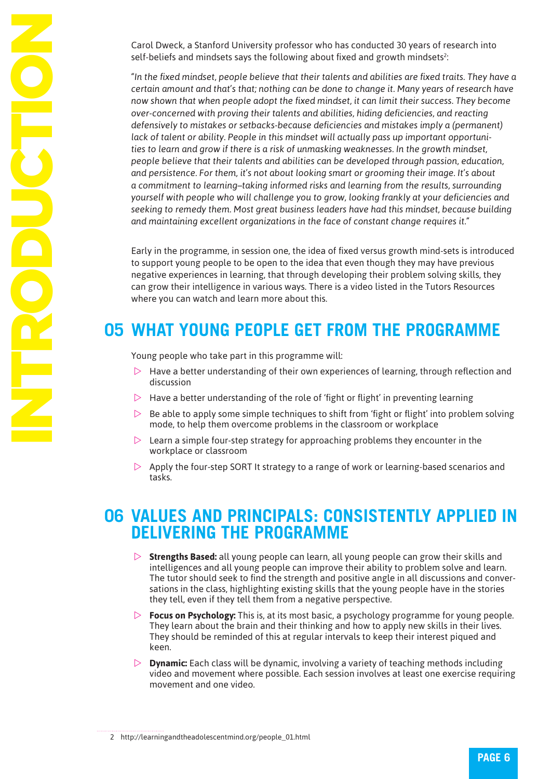Carol Dweck, a Stanford University professor who has conducted 30 years of research into self-beliefs and mindsets says the following about fixed and growth mindsets<sup>2</sup>: :

*"In the fixed mindset, people believe that their talents and abilities are fixed traits. They have a certain amount and that's that; nothing can be done to change it. Many years of research have now shown that when people adopt the fixed mindset, it can limit their success. They become over-concerned with proving their talents and abilities, hiding deficiencies, and reacting defensively to mistakes or setbacks-because deficiencies and mistakes imply a (permanent) lack of talent or ability. People in this mindset will actually pass up important opportunities to learn and grow if there is a risk of unmasking weaknesses. In the growth mindset, people believe that their talents and abilities can be developed through passion, education, and persistence. For them, it's not about looking smart or grooming their image. It's about a commitment to learning–taking informed risks and learning from the results, surrounding yourself with people who will challenge you to grow, looking frankly at your deficiencies and seeking to remedy them. Most great business leaders have had this mindset, because building and maintaining excellent organizations in the face of constant change requires it."*

Early in the programme, in session one, the idea of fixed versus growth mind-sets is introduced to support young people to be open to the idea that even though they may have previous negative experiences in learning, that through developing their problem solving skills, they can grow their intelligence in various ways. There is a video listed in the Tutors Resources where you can watch and learn more about this.

## **05 WHAT YOUNG PEOPLE GET FROM THE PROGRAMME**

Young people who take part in this programme will:

- $\triangleright$  Have a better understanding of their own experiences of learning, through reflection and discussion
- $\triangleright$  Have a better understanding of the role of 'fight or flight' in preventing learning
- $\triangleright$  Be able to apply some simple techniques to shift from 'fight or flight' into problem solving mode, to help them overcome problems in the classroom or workplace
- $\triangleright$  Learn a simple four-step strategy for approaching problems they encounter in the workplace or classroom
- $\triangleright$  Apply the four-step SORT It strategy to a range of work or learning-based scenarios and tasks.

### **06 VALUES AND PRINCIPALS: CONSISTENTLY APPLIED IN DELIVERING THE PROGRAMME**

- w **Strengths Based:** all young people can learn, all young people can grow their skills and intelligences and all young people can improve their ability to problem solve and learn. The tutor should seek to find the strength and positive angle in all discussions and conversations in the class, highlighting existing skills that the young people have in the stories they tell, even if they tell them from a negative perspective.
- $\triangleright$  **Focus on Psychology:** This is, at its most basic, a psychology programme for young people. They learn about the brain and their thinking and how to apply new skills in their lives. They should be reminded of this at regular intervals to keep their interest piqued and keen.
- **Dynamic:** Each class will be dynamic, involving a variety of teaching methods including video and movement where possible. Each session involves at least one exercise requiring movement and one video.

<sup>2</sup> http://learningandtheadolescentmind.org/people\_01.html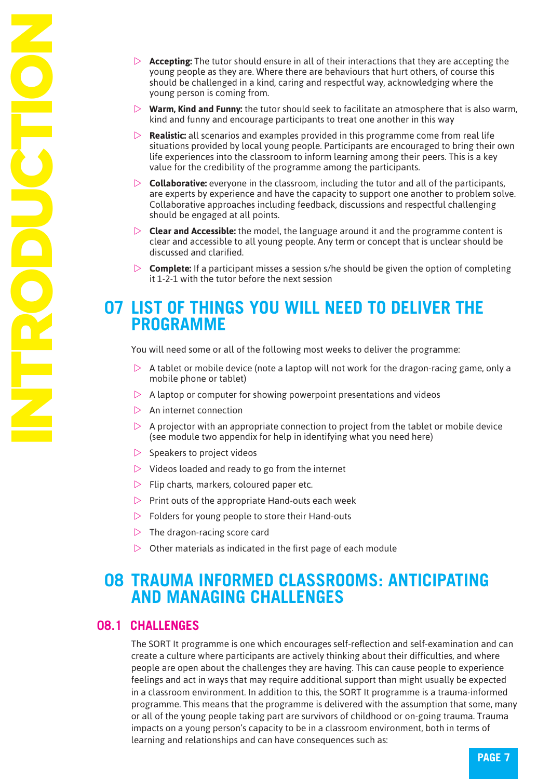- $\triangleright$  **Accepting:** The tutor should ensure in all of their interactions that they are accepting the young people as they are. Where there are behaviours that hurt others, of course this should be challenged in a kind, caring and respectful way, acknowledging where the young person is coming from.
- $\triangleright$  **Warm, Kind and Funny:** the tutor should seek to facilitate an atmosphere that is also warm, kind and funny and encourage participants to treat one another in this way
- $\triangleright$  **Realistic:** all scenarios and examples provided in this programme come from real life situations provided by local young people. Participants are encouraged to bring their own life experiences into the classroom to inform learning among their peers. This is a key value for the credibility of the programme among the participants.
- $\triangleright$  **Collaborative:** everyone in the classroom, including the tutor and all of the participants, are experts by experience and have the capacity to support one another to problem solve. Collaborative approaches including feedback, discussions and respectful challenging should be engaged at all points.
- $\triangleright$  **Clear and Accessible:** the model, the language around it and the programme content is clear and accessible to all young people. Any term or concept that is unclear should be discussed and clarified.
- $\triangleright$  **Complete:** If a participant misses a session s/he should be given the option of completing it 1-2-1 with the tutor before the next session

### **07 LIST OF THINGS YOU WILL NEED TO DELIVER THE PROGRAMME**

You will need some or all of the following most weeks to deliver the programme:

- $\triangleright$  A tablet or mobile device (note a laptop will not work for the dragon-racing game, only a mobile phone or tablet)
- $\triangleright$  A laptop or computer for showing powerpoint presentations and videos
- $\triangleright$  An internet connection
- $\triangleright$  A projector with an appropriate connection to project from the tablet or mobile device (see module two appendix for help in identifying what you need here)
- $\triangleright$  Speakers to project videos
- $\triangleright$  Videos loaded and ready to go from the internet
- $\triangleright$  Flip charts, markers, coloured paper etc.
- $\triangleright$  Print outs of the appropriate Hand-outs each week
- $\triangleright$  Folders for young people to store their Hand-outs
- $\triangleright$  The dragon-racing score card
- $\triangleright$  Other materials as indicated in the first page of each module

### **08 TRAUMA INFORMED CLASSROOMS: ANTICIPATING AND MANAGING CHALLENGES**

#### **08.1 CHALLENGES**

The SORT It programme is one which encourages self-reflection and self-examination and can create a culture where participants are actively thinking about their difficulties, and where people are open about the challenges they are having. This can cause people to experience feelings and act in ways that may require additional support than might usually be expected in a classroom environment. In addition to this, the SORT It programme is a trauma-informed programme. This means that the programme is delivered with the assumption that some, many or all of the young people taking part are survivors of childhood or on-going trauma. Trauma impacts on a young person's capacity to be in a classroom environment, both in terms of learning and relationships and can have consequences such as: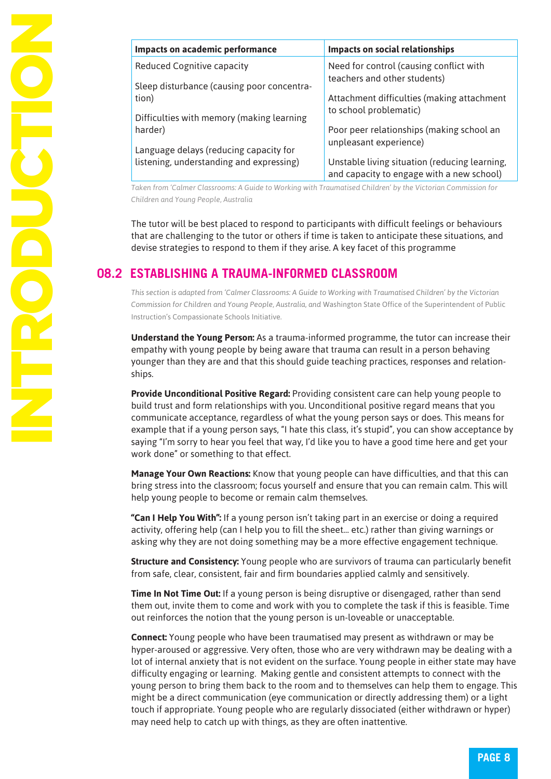| Impacts on academic performance            | <b>Impacts on social relationships</b>                                                     |  |
|--------------------------------------------|--------------------------------------------------------------------------------------------|--|
| <b>Reduced Cognitive capacity</b>          | Need for control (causing conflict with<br>teachers and other students)                    |  |
| Sleep disturbance (causing poor concentra- |                                                                                            |  |
| tion)                                      | Attachment difficulties (making attachment                                                 |  |
| Difficulties with memory (making learning  | to school problematic)                                                                     |  |
| harder)                                    | Poor peer relationships (making school an                                                  |  |
| Language delays (reducing capacity for     | unpleasant experience)                                                                     |  |
| listening, understanding and expressing)   | Unstable living situation (reducing learning,<br>and capacity to engage with a new school) |  |

*Taken from 'Calmer Classrooms: A Guide to Working with Traumatised Children' by the Victorian Commission for Children and Young People, Australia*

The tutor will be best placed to respond to participants with difficult feelings or behaviours that are challenging to the tutor or others if time is taken to anticipate these situations, and devise strategies to respond to them if they arise. A key facet of this programme

### **08.2 ESTABLISHING A TRAUMA-INFORMED CLASSROOM**

*This section is adapted from 'Calmer Classrooms: A Guide to Working with Traumatised Children' by the Victorian Commission for Children and Young People, Australia, and* Washington State Office of the Superintendent of Public Instruction's Compassionate Schools Initiative.

**Understand the Young Person:** As a trauma-informed programme, the tutor can increase their empathy with young people by being aware that trauma can result in a person behaving younger than they are and that this should guide teaching practices, responses and relationships.

**Provide Unconditional Positive Regard:** Providing consistent care can help young people to build trust and form relationships with you. Unconditional positive regard means that you communicate acceptance, regardless of what the young person says or does. This means for example that if a young person says, "I hate this class, it's stupid", you can show acceptance by saying "I'm sorry to hear you feel that way, I'd like you to have a good time here and get your work done" or something to that effect.

**Manage Your Own Reactions:** Know that young people can have difficulties, and that this can bring stress into the classroom; focus yourself and ensure that you can remain calm. This will help young people to become or remain calm themselves.

**"Can I Help You With":** If a young person isn't taking part in an exercise or doing a required activity, offering help (can I help you to fill the sheet… etc.) rather than giving warnings or asking why they are not doing something may be a more effective engagement technique.

**Structure and Consistency:** Young people who are survivors of trauma can particularly benefit from safe, clear, consistent, fair and firm boundaries applied calmly and sensitively.

**Time In Not Time Out:** If a young person is being disruptive or disengaged, rather than send them out, invite them to come and work with you to complete the task if this is feasible. Time out reinforces the notion that the young person is un-loveable or unacceptable.

**Connect:** Young people who have been traumatised may present as withdrawn or may be hyper-aroused or aggressive. Very often, those who are very withdrawn may be dealing with a lot of internal anxiety that is not evident on the surface. Young people in either state may have difficulty engaging or learning. Making gentle and consistent attempts to connect with the young person to bring them back to the room and to themselves can help them to engage. This might be a direct communication (eye communication or directly addressing them) or a light touch if appropriate. Young people who are regularly dissociated (either withdrawn or hyper) may need help to catch up with things, as they are often inattentive.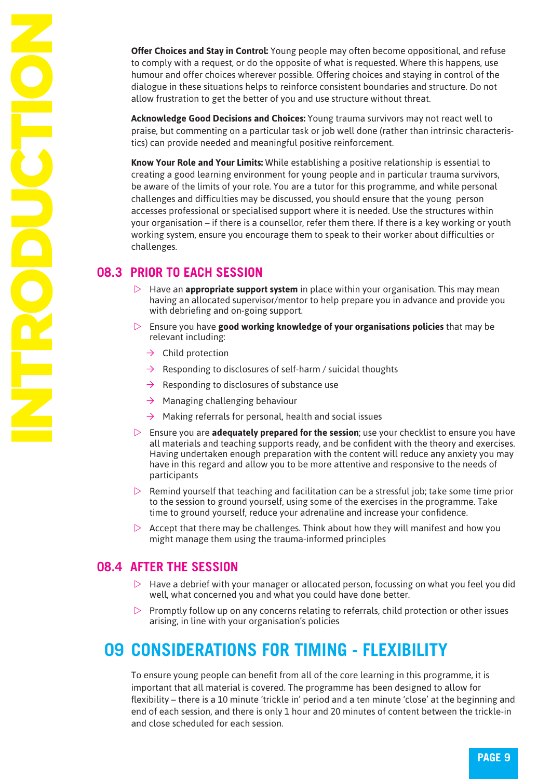**Offer Choices and Stay in Control:** Young people may often become oppositional, and refuse to comply with a request, or do the opposite of what is requested. Where this happens, use humour and offer choices wherever possible. Offering choices and staying in control of the dialogue in these situations helps to reinforce consistent boundaries and structure. Do not allow frustration to get the better of you and use structure without threat.

**Acknowledge Good Decisions and Choices:** Young trauma survivors may not react well to praise, but commenting on a particular task or job well done (rather than intrinsic characteristics) can provide needed and meaningful positive reinforcement.

**Know Your Role and Your Limits:** While establishing a positive relationship is essential to creating a good learning environment for young people and in particular trauma survivors, be aware of the limits of your role. You are a tutor for this programme, and while personal challenges and difficulties may be discussed, you should ensure that the young person accesses professional or specialised support where it is needed. Use the structures within your organisation – if there is a counsellor, refer them there. If there is a key working or youth working system, ensure you encourage them to speak to their worker about difficulties or challenges.

### **08.3 PRIOR TO EACH SESSION**

- $\triangleright$  Have an **appropriate support system** in place within your organisation. This may mean having an allocated supervisor/mentor to help prepare you in advance and provide you with debriefing and on-going support.
- $\triangleright$  Ensure you have **good working knowledge of your organisations policies** that may be relevant including:
	- $\rightarrow$  Child protection
	- $\rightarrow$  Responding to disclosures of self-harm / suicidal thoughts
	- $\rightarrow$  Responding to disclosures of substance use
	- $\rightarrow$  Managing challenging behaviour
	- $\rightarrow$  Making referrals for personal, health and social issues
- $\triangleright$  Ensure you are **adequately prepared for the session**; use your checklist to ensure you have all materials and teaching supports ready, and be confident with the theory and exercises. Having undertaken enough preparation with the content will reduce any anxiety you may have in this regard and allow you to be more attentive and responsive to the needs of participants
- $\triangleright$  Remind yourself that teaching and facilitation can be a stressful job; take some time prior to the session to ground yourself, using some of the exercises in the programme. Take time to ground yourself, reduce your adrenaline and increase your confidence.
- $\triangleright$  Accept that there may be challenges. Think about how they will manifest and how you might manage them using the trauma-informed principles

#### **08.4 AFTER THE SESSION**

- $\triangleright$  Have a debrief with your manager or allocated person, focussing on what you feel you did well, what concerned you and what you could have done better.
- $\triangleright$  Promptly follow up on any concerns relating to referrals, child protection or other issues arising, in line with your organisation's policies

### **09 CONSIDERATIONS FOR TIMING - FLEXIBILITY**

To ensure young people can benefit from all of the core learning in this programme, it is important that all material is covered. The programme has been designed to allow for flexibility – there is a 10 minute 'trickle in' period and a ten minute 'close' at the beginning and end of each session, and there is only 1 hour and 20 minutes of content between the trickle-in and close scheduled for each session.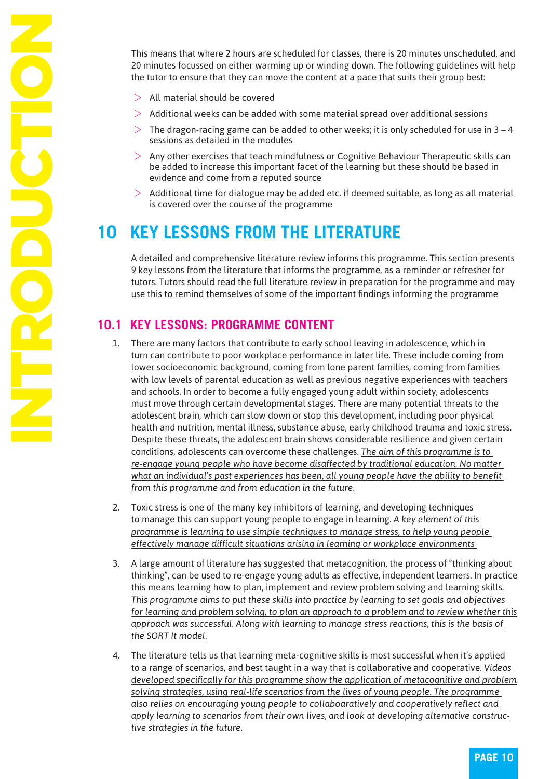This means that where 2 hours are scheduled for classes, there is 20 minutes unscheduled, and 20 minutes focussed on either warming up or winding down. The following guidelines will help the tutor to ensure that they can move the content at a pace that suits their group best:

- $\triangleright$  All material should be covered
- $\triangleright$  Additional weeks can be added with some material spread over additional sessions
- $\triangleright$  The dragon-racing game can be added to other weeks; it is only scheduled for use in 3 4 sessions as detailed in the modules
- $\triangleright$  Any other exercises that teach mindfulness or Cognitive Behaviour Therapeutic skills can be added to increase this important facet of the learning but these should be based in evidence and come from a reputed source
- $\triangleright$  Additional time for dialogue may be added etc. if deemed suitable, as long as all material is covered over the course of the programme

### **10 KEY LESSONS FROM THE LITERATURE**

A detailed and comprehensive literature review informs this programme. This section presents 9 key lessons from the literature that informs the programme, as a reminder or refresher for tutors. Tutors should read the full literature review in preparation for the programme and may use this to remind themselves of some of the important findings informing the programme

### **10.1 KEY LESSONS: PROGRAMME CONTENT**

- 1. There are many factors that contribute to early school leaving in adolescence, which in turn can contribute to poor workplace performance in later life. These include coming from lower socioeconomic background, coming from lone parent families, coming from families with low levels of parental education as well as previous negative experiences with teachers and schools. In order to become a fully engaged young adult within society, adolescents must move through certain developmental stages. There are many potential threats to the adolescent brain, which can slow down or stop this development, including poor physical health and nutrition, mental illness, substance abuse, early childhood trauma and toxic stress. Despite these threats, the adolescent brain shows considerable resilience and given certain conditions, adolescents can overcome these challenges. *The aim of this programme is to re-engage young people who have become disaffected by traditional education. No matter what an individual's past experiences has been, all young people have the ability to benefit from this programme and from education in the future.*
- 2. Toxic stress is one of the many key inhibitors of learning, and developing techniques to manage this can support young people to engage in learning. *A key element of this programme is learning to use simple techniques to manage stress, to help young people effectively manage difficult situations arising in learning or workplace environments*
- 3. A large amount of literature has suggested that metacognition, the process of "thinking about thinking", can be used to re-engage young adults as effective, independent learners. In practice this means learning how to plan, implement and review problem solving and learning skills. *This programme aims to put these skills into practice by learning to set goals and objectives for learning and problem solving, to plan an approach to a problem and to review whether this approach was successful. Along with learning to manage stress reactions, this is the basis of the SORT It model.*
- 4. The literature tells us that learning meta-cognitive skills is most successful when it's applied to a range of scenarios, and best taught in a way that is collaborative and cooperative. *Videos developed specifically for this programme show the application of metacognitive and problem solving strategies, using real-life scenarios from the lives of young people. The programme also relies on encouraging young people to collaboaratively and cooperatively reflect and apply learning to scenarios from their own lives, and look at developing alternative constructive strategies in the future.*